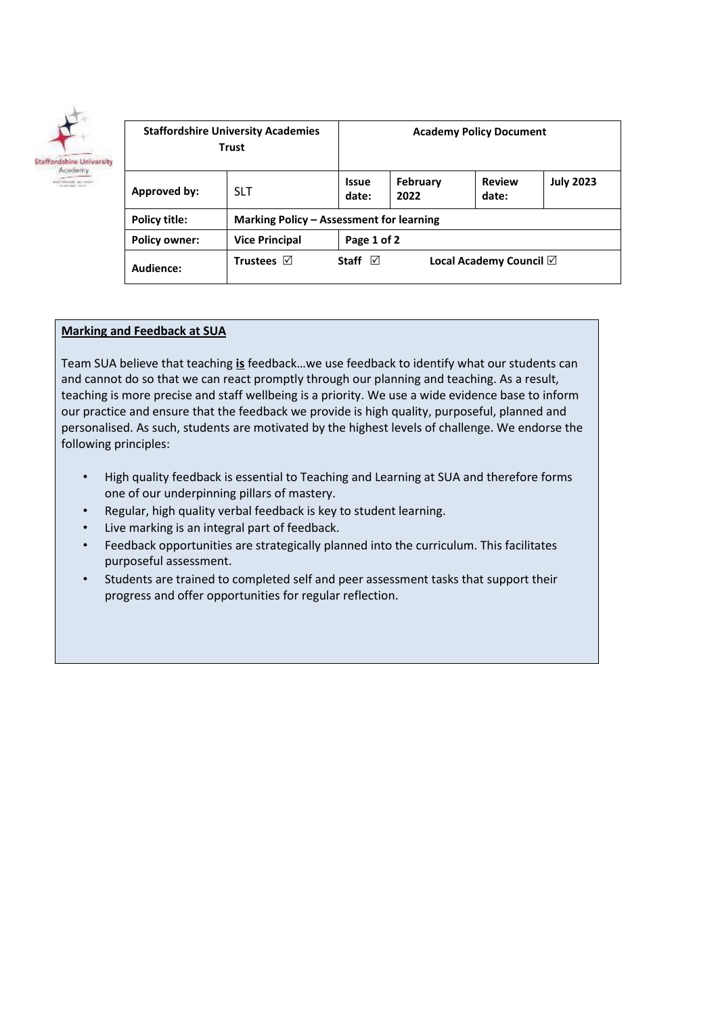

| <b>Staffordshire University Academies</b><br><b>Trust</b> |                                          | <b>Academy Policy Document</b>                    |                  |                        |                  |
|-----------------------------------------------------------|------------------------------------------|---------------------------------------------------|------------------|------------------------|------------------|
| Approved by:                                              | <b>SLT</b>                               | <b>Issue</b><br>date:                             | February<br>2022 | <b>Review</b><br>date: | <b>July 2023</b> |
| Policy title:                                             | Marking Policy - Assessment for learning |                                                   |                  |                        |                  |
| <b>Policy owner:</b>                                      | <b>Vice Principal</b>                    | Page 1 of 2                                       |                  |                        |                  |
| Audience:                                                 | Trustees $\nabla$                        | Local Academy Council $\boxtimes$<br>Staff $\Box$ |                  |                        |                  |

#### **Marking and Feedback at SUA**

Team SUA believe that teaching **is** feedback…we use feedback to identify what our students can and cannot do so that we can react promptly through our planning and teaching. As a result, teaching is more precise and staff wellbeing is a priority. We use a wide evidence base to inform our practice and ensure that the feedback we provide is high quality, purposeful, planned and personalised. As such, students are motivated by the highest levels of challenge. We endorse the following principles:

- High quality feedback is essential to Teaching and Learning at SUA and therefore forms one of our underpinning pillars of mastery.
- Regular, high quality verbal feedback is key to student learning.
- Live marking is an integral part of feedback.
- Feedback opportunities are strategically planned into the curriculum. This facilitates purposeful assessment.
- Students are trained to completed self and peer assessment tasks that support their progress and offer opportunities for regular reflection.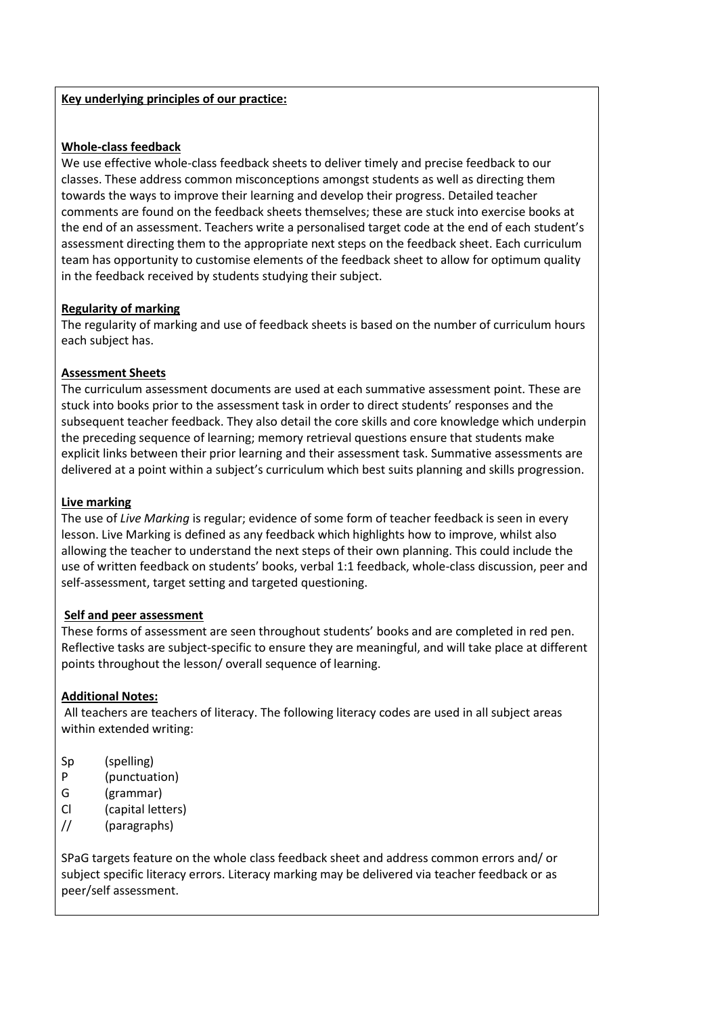## **Key underlying principles of our practice:**

#### **Whole-class feedback**

We use effective whole-class feedback sheets to deliver timely and precise feedback to our classes. These address common misconceptions amongst students as well as directing them towards the ways to improve their learning and develop their progress. Detailed teacher comments are found on the feedback sheets themselves; these are stuck into exercise books at the end of an assessment. Teachers write a personalised target code at the end of each student's assessment directing them to the appropriate next steps on the feedback sheet. Each curriculum team has opportunity to customise elements of the feedback sheet to allow for optimum quality in the feedback received by students studying their subject.

## **Regularity of marking**

The regularity of marking and use of feedback sheets is based on the number of curriculum hours each subject has.

## **Assessment Sheets**

The curriculum assessment documents are used at each summative assessment point. These are stuck into books prior to the assessment task in order to direct students' responses and the subsequent teacher feedback. They also detail the core skills and core knowledge which underpin the preceding sequence of learning; memory retrieval questions ensure that students make explicit links between their prior learning and their assessment task. Summative assessments are delivered at a point within a subject's curriculum which best suits planning and skills progression.

## **Live marking**

The use of *Live Marking* is regular; evidence of some form of teacher feedback is seen in every lesson. Live Marking is defined as any feedback which highlights how to improve, whilst also allowing the teacher to understand the next steps of their own planning. This could include the use of written feedback on students' books, verbal 1:1 feedback, whole-class discussion, peer and self-assessment, target setting and targeted questioning.

#### **Self and peer assessment**

These forms of assessment are seen throughout students' books and are completed in red pen. Reflective tasks are subject-specific to ensure they are meaningful, and will take place at different points throughout the lesson/ overall sequence of learning.

# **Additional Notes:**

All teachers are teachers of literacy. The following literacy codes are used in all subject areas within extended writing:

- Sp (spelling)
- P (punctuation)
- G (grammar)
- Cl (capital letters)
- // (paragraphs)

SPaG targets feature on the whole class feedback sheet and address common errors and/ or subject specific literacy errors. Literacy marking may be delivered via teacher feedback or as peer/self assessment.